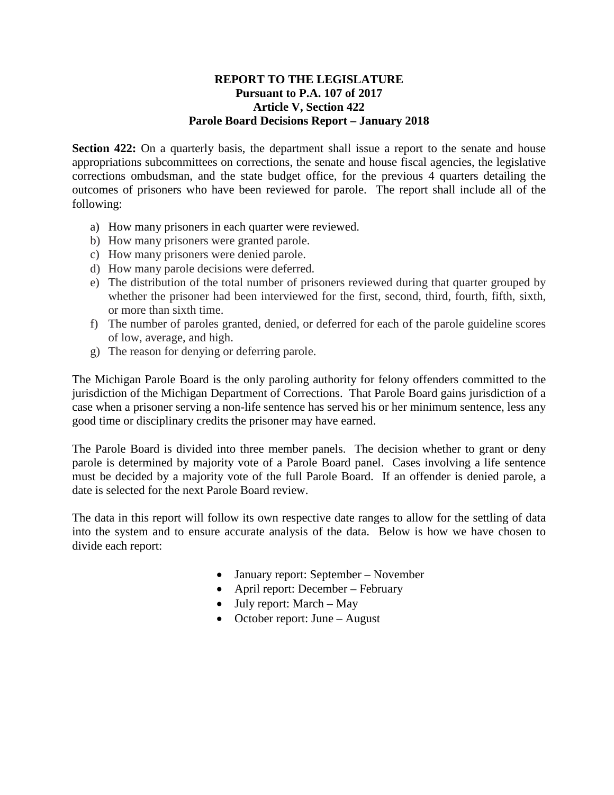## **REPORT TO THE LEGISLATURE Pursuant to P.A. 107 of 2017 Article V, Section 422 Parole Board Decisions Report – January 2018**

**Section 422:** On a quarterly basis, the department shall issue a report to the senate and house appropriations subcommittees on corrections, the senate and house fiscal agencies, the legislative corrections ombudsman, and the state budget office, for the previous 4 quarters detailing the outcomes of prisoners who have been reviewed for parole. The report shall include all of the following:

- a) How many prisoners in each quarter were reviewed.
- b) How many prisoners were granted parole.
- c) How many prisoners were denied parole.
- d) How many parole decisions were deferred.
- e) The distribution of the total number of prisoners reviewed during that quarter grouped by whether the prisoner had been interviewed for the first, second, third, fourth, fifth, sixth, or more than sixth time.
- f) The number of paroles granted, denied, or deferred for each of the parole guideline scores of low, average, and high.
- g) The reason for denying or deferring parole.

The Michigan Parole Board is the only paroling authority for felony offenders committed to the jurisdiction of the Michigan Department of Corrections. That Parole Board gains jurisdiction of a case when a prisoner serving a non-life sentence has served his or her minimum sentence, less any good time or disciplinary credits the prisoner may have earned.

The Parole Board is divided into three member panels. The decision whether to grant or deny parole is determined by majority vote of a Parole Board panel. Cases involving a life sentence must be decided by a majority vote of the full Parole Board. If an offender is denied parole, a date is selected for the next Parole Board review.

The data in this report will follow its own respective date ranges to allow for the settling of data into the system and to ensure accurate analysis of the data. Below is how we have chosen to divide each report:

- January report: September November
- April report: December February
- July report: March May
- October report: June August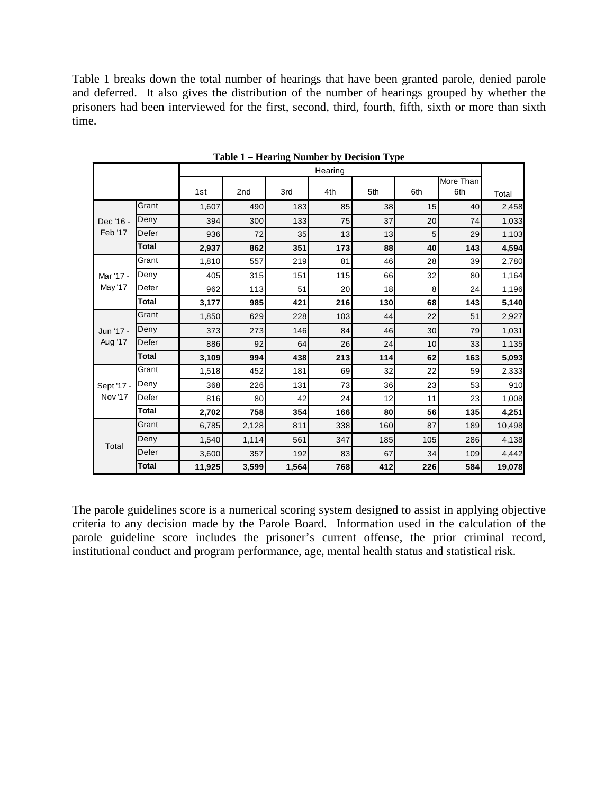Table 1 breaks down the total number of hearings that have been granted parole, denied parole and deferred. It also gives the distribution of the number of hearings grouped by whether the prisoners had been interviewed for the first, second, third, fourth, fifth, sixth or more than sixth time.

|                      |              |        |       | Table 1 – Hearing Number by Decision Type |     |     |                 |                  |        |
|----------------------|--------------|--------|-------|-------------------------------------------|-----|-----|-----------------|------------------|--------|
|                      | Hearing      |        |       |                                           |     |     |                 |                  |        |
|                      |              | 1st    | 2nd   | 3rd                                       | 4th | 5th | 6th             | More Than<br>6th | Total  |
| Dec '16 -<br>Feb '17 | Grant        | 1,607  | 490   | 183                                       | 85  | 38  | 15              | 40               | 2,458  |
|                      | Deny         | 394    | 300   | 133                                       | 75  | 37  | 20              | 74               | 1,033  |
|                      | Defer        | 936    | 72    | 35                                        | 13  | 13  | 5               | 29               | 1,103  |
|                      | <b>Total</b> | 2,937  | 862   | 351                                       | 173 | 88  | 40              | 143              | 4,594  |
| Mar '17 -<br>May '17 | Grant        | 1,810  | 557   | 219                                       | 81  | 46  | 28              | 39               | 2,780  |
|                      | Deny         | 405    | 315   | 151                                       | 115 | 66  | 32              | 80               | 1,164  |
|                      | Defer        | 962    | 113   | 51                                        | 20  | 18  | 8 <sup>1</sup>  | 24               | 1,196  |
|                      | Total        | 3,177  | 985   | 421                                       | 216 | 130 | 68              | 143              | 5,140  |
|                      | Grant        | 1,850  | 629   | 228                                       | 103 | 44  | 22              | 51               | 2,927  |
| Jun '17 -<br>Aug '17 | Deny         | 373    | 273   | 146                                       | 84  | 46  | 30 <sup>°</sup> | 79               | 1,031  |
|                      | Defer        | 886    | 92    | 64                                        | 26  | 24  | 10              | 33               | 1,135  |
|                      | <b>Total</b> | 3,109  | 994   | 438                                       | 213 | 114 | 62              | 163              | 5,093  |
| Sept '17 -<br>Nov'17 | Grant        | 1,518  | 452   | 181                                       | 69  | 32  | 22              | 59               | 2,333  |
|                      | Deny         | 368    | 226   | 131                                       | 73  | 36  | 23              | 53               | 910    |
|                      | Defer        | 816    | 80    | 42                                        | 24  | 12  | 11              | 23               | 1,008  |
|                      | <b>Total</b> | 2,702  | 758   | 354                                       | 166 | 80  | 56              | 135              | 4,251  |
| Total                | Grant        | 6,785  | 2,128 | 811                                       | 338 | 160 | 87              | 189              | 10,498 |
|                      | Deny         | 1,540  | 1,114 | 561                                       | 347 | 185 | 105             | 286              | 4,138  |
|                      | Defer        | 3,600  | 357   | 192                                       | 83  | 67  | 34              | 109              | 4,442  |
|                      | <b>Total</b> | 11,925 | 3,599 | 1,564                                     | 768 | 412 | 226             | 584              | 19,078 |

**Table 1 – Hearing Number by Decision Type**

The parole guidelines score is a numerical scoring system designed to assist in applying objective criteria to any decision made by the Parole Board. Information used in the calculation of the parole guideline score includes the prisoner's current offense, the prior criminal record, institutional conduct and program performance, age, mental health status and statistical risk.